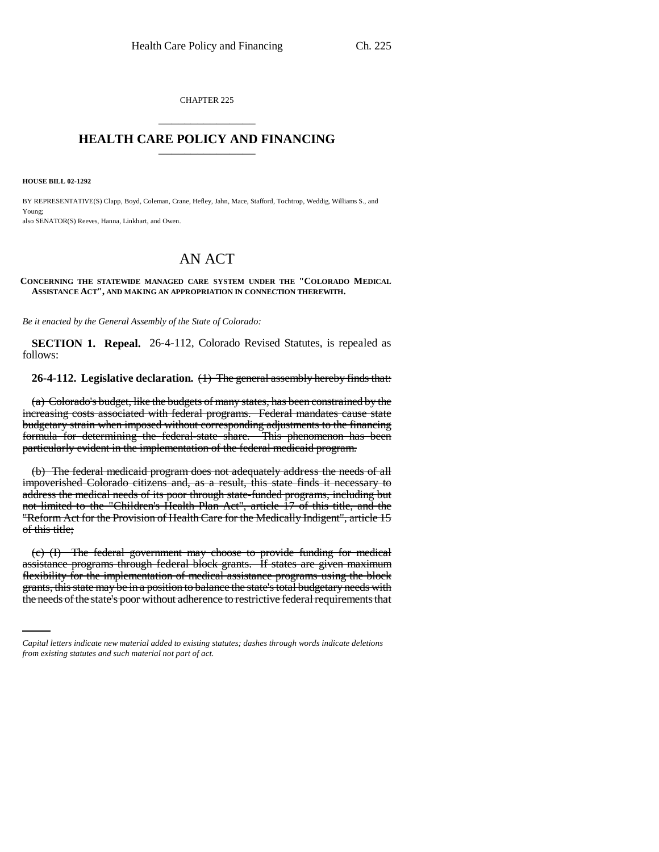CHAPTER 225 \_\_\_\_\_\_\_\_\_\_\_\_\_\_\_

# **HEALTH CARE POLICY AND FINANCING** \_\_\_\_\_\_\_\_\_\_\_\_\_\_\_

**HOUSE BILL 02-1292**

BY REPRESENTATIVE(S) Clapp, Boyd, Coleman, Crane, Hefley, Jahn, Mace, Stafford, Tochtrop, Weddig, Williams S., and Young; also SENATOR(S) Reeves, Hanna, Linkhart, and Owen.

# AN ACT

#### **CONCERNING THE STATEWIDE MANAGED CARE SYSTEM UNDER THE "COLORADO MEDICAL ASSISTANCE ACT", AND MAKING AN APPROPRIATION IN CONNECTION THEREWITH.**

*Be it enacted by the General Assembly of the State of Colorado:*

**SECTION 1. Repeal.** 26-4-112, Colorado Revised Statutes, is repealed as follows:

**26-4-112. Legislative declaration.** (1) The general assembly hereby finds that:

(a) Colorado's budget, like the budgets of many states, has been constrained by the increasing costs associated with federal programs. Federal mandates cause state budgetary strain when imposed without corresponding adjustments to the financing formula for determining the federal-state share. This phenomenon has been particularly evident in the implementation of the federal medicaid program.

(b) The federal medicaid program does not adequately address the needs of all impoverished Colorado citizens and, as a result, this state finds it necessary to address the medical needs of its poor through state-funded programs, including but not limited to the "Children's Health Plan Act", article 17 of this title, and the "Reform Act for the Provision of Health Care for the Medically Indigent", article 15 of this title;

flexibility for the implementation of medical assistance programs using the block (c) (I) The federal government may choose to provide funding for medical assistance programs through federal block grants. If states are given maximum grants, this state may be in a position to balance the state's total budgetary needs with the needs of the state's poor without adherence to restrictive federal requirements that

*Capital letters indicate new material added to existing statutes; dashes through words indicate deletions from existing statutes and such material not part of act.*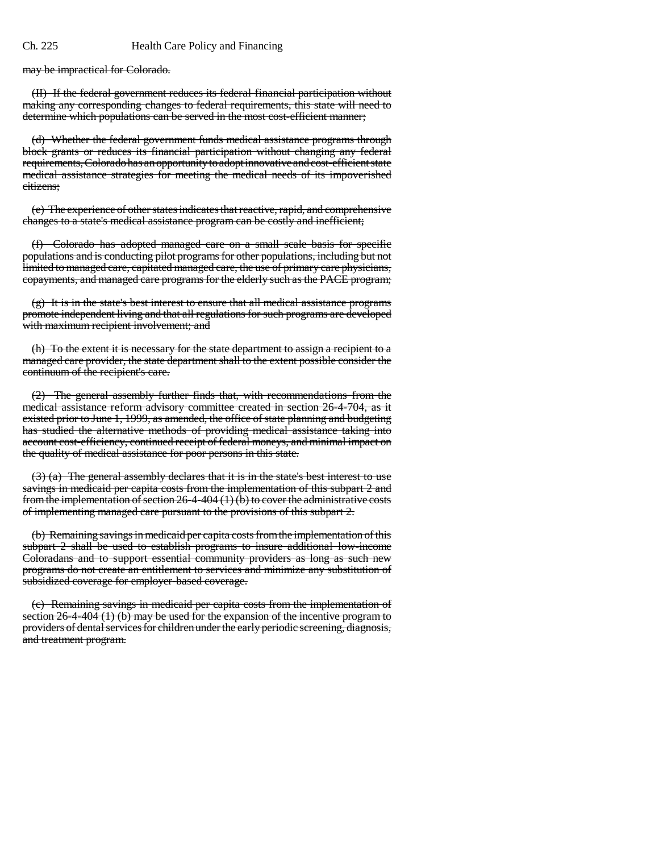may be impractical for Colorado.

(II) If the federal government reduces its federal financial participation without making any corresponding changes to federal requirements, this state will need to determine which populations can be served in the most cost-efficient manner;

(d) Whether the federal government funds medical assistance programs through block grants or reduces its financial participation without changing any federal requirements, Colorado has an opportunity to adopt innovative and cost-efficient state medical assistance strategies for meeting the medical needs of its impoverished citizens;

(e) The experience of other states indicates that reactive, rapid, and comprehensive changes to a state's medical assistance program can be costly and inefficient;

(f) Colorado has adopted managed care on a small scale basis for specific populations and is conducting pilot programs for other populations, including but not limited to managed care, capitated managed care, the use of primary care physicians, copayments, and managed care programs for the elderly such as the PACE program;

 $(g)$  It is in the state's best interest to ensure that all medical assistance programs promote independent living and that all regulations for such programs are developed with maximum recipient involvement; and

(h) To the extent it is necessary for the state department to assign a recipient to a managed care provider, the state department shall to the extent possible consider the continuum of the recipient's care.

(2) The general assembly further finds that, with recommendations from the medical assistance reform advisory committee created in section 26-4-704, as it existed prior to June 1, 1999, as amended, the office of state planning and budgeting has studied the alternative methods of providing medical assistance taking into account cost-efficiency, continued receipt of federal moneys, and minimal impact on the quality of medical assistance for poor persons in this state.

 $(3)$  (a) The general assembly declares that it is in the state's best interest to use savings in medicaid per capita costs from the implementation of this subpart 2 and from the implementation of section  $26-4-404$  (1) (b) to cover the administrative costs of implementing managed care pursuant to the provisions of this subpart 2.

(b) Remaining savings in medicaid per capita costs from the implementation of this subpart 2 shall be used to establish programs to insure additional low-income Coloradans and to support essential community providers as long as such new programs do not create an entitlement to services and minimize any substitution of subsidized coverage for employer-based coverage.

(c) Remaining savings in medicaid per capita costs from the implementation of section 26-4-404 (1) (b) may be used for the expansion of the incentive program to providers of dental services for children under the early periodic screening, diagnosis, and treatment program.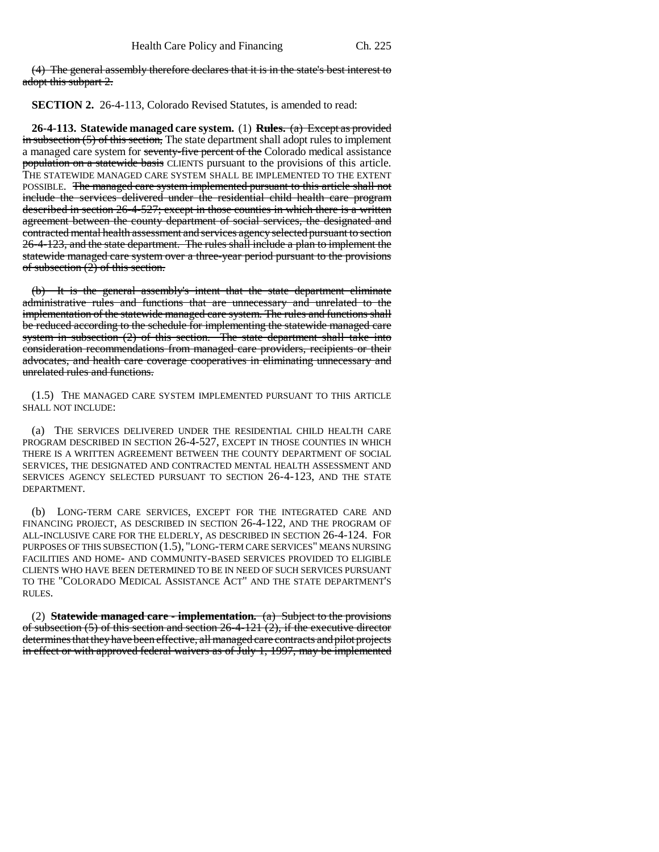(4) The general assembly therefore declares that it is in the state's best interest to adopt this subpart 2.

**SECTION 2.** 26-4-113, Colorado Revised Statutes, is amended to read:

**26-4-113. Statewide managed care system.** (1) **Rules.** (a) Except as provided  $\frac{1}{2}$  in subsection (5) of this section, The state department shall adopt rules to implement a managed care system for seventy-five percent of the Colorado medical assistance population on a statewide basis CLIENTS pursuant to the provisions of this article. THE STATEWIDE MANAGED CARE SYSTEM SHALL BE IMPLEMENTED TO THE EXTENT POSSIBLE. The managed care system implemented pursuant to this article shall not include the services delivered under the residential child health care program described in section 26-4-527; except in those counties in which there is a written agreement between the county department of social services, the designated and contracted mental health assessment and services agency selected pursuant to section 26-4-123, and the state department. The rules shall include a plan to implement the statewide managed care system over a three-year period pursuant to the provisions of subsection (2) of this section.

(b) It is the general assembly's intent that the state department eliminate administrative rules and functions that are unnecessary and unrelated to the implementation of the statewide managed care system. The rules and functions shall be reduced according to the schedule for implementing the statewide managed care system in subsection  $(2)$  of this section. The state department shall take into consideration recommendations from managed care providers, recipients or their advocates, and health care coverage cooperatives in eliminating unnecessary and unrelated rules and functions.

(1.5) THE MANAGED CARE SYSTEM IMPLEMENTED PURSUANT TO THIS ARTICLE SHALL NOT INCLUDE:

(a) THE SERVICES DELIVERED UNDER THE RESIDENTIAL CHILD HEALTH CARE PROGRAM DESCRIBED IN SECTION 26-4-527, EXCEPT IN THOSE COUNTIES IN WHICH THERE IS A WRITTEN AGREEMENT BETWEEN THE COUNTY DEPARTMENT OF SOCIAL SERVICES, THE DESIGNATED AND CONTRACTED MENTAL HEALTH ASSESSMENT AND SERVICES AGENCY SELECTED PURSUANT TO SECTION 26-4-123, AND THE STATE DEPARTMENT.

(b) LONG-TERM CARE SERVICES, EXCEPT FOR THE INTEGRATED CARE AND FINANCING PROJECT, AS DESCRIBED IN SECTION 26-4-122, AND THE PROGRAM OF ALL-INCLUSIVE CARE FOR THE ELDERLY, AS DESCRIBED IN SECTION 26-4-124. FOR PURPOSES OF THIS SUBSECTION (1.5), "LONG-TERM CARE SERVICES" MEANS NURSING FACILITIES AND HOME- AND COMMUNITY-BASED SERVICES PROVIDED TO ELIGIBLE CLIENTS WHO HAVE BEEN DETERMINED TO BE IN NEED OF SUCH SERVICES PURSUANT TO THE "COLORADO MEDICAL ASSISTANCE ACT" AND THE STATE DEPARTMENT'S RULES.

(2) **Statewide managed care - implementation.** (a) Subject to the provisions of subsection (5) of this section and section 26-4-121 (2), if the executive director determines that they have been effective, all managed care contracts and pilot projects in effect or with approved federal waivers as of July 1, 1997, may be implemented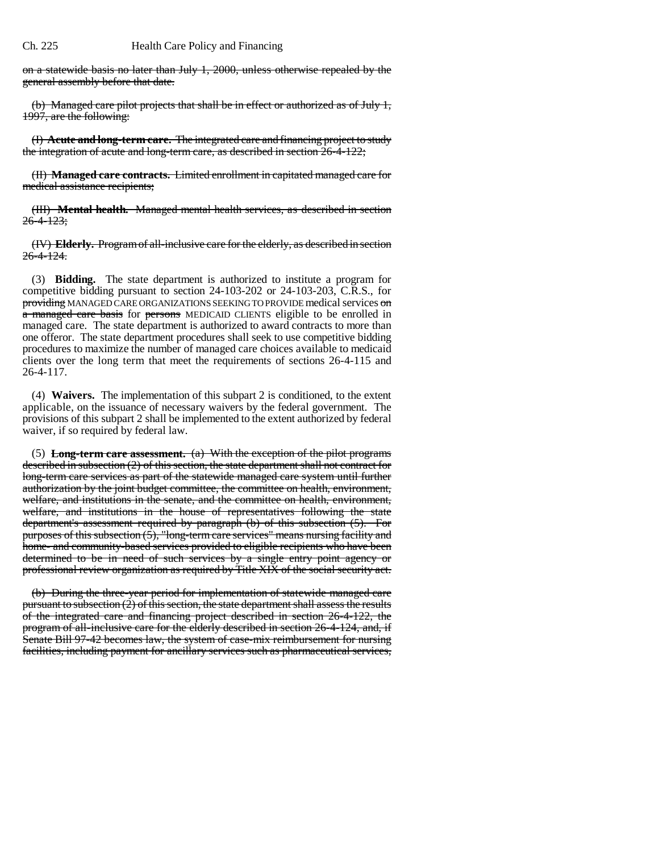on a statewide basis no later than July 1, 2000, unless otherwise repealed by the general assembly before that date.

(b) Managed care pilot projects that shall be in effect or authorized as of July 1, 1997, are the following:

(I) **Acute and long-term care.** The integrated care and financing project to study the integration of acute and long-term care, as described in section 26-4-122;

(II) **Managed care contracts.** Limited enrollment in capitated managed care for medical assistance recipients;

(III) **Mental health.** Managed mental health services, as described in section  $26 - 4 - 123$ ;

(IV) **Elderly.** Program of all-inclusive care for the elderly, as described in section 26-4-124.

(3) **Bidding.** The state department is authorized to institute a program for competitive bidding pursuant to section 24-103-202 or 24-103-203, C.R.S., for providing MANAGED CARE ORGANIZATIONS SEEKING TO PROVIDE medical services on a managed care basis for persons MEDICAID CLIENTS eligible to be enrolled in managed care. The state department is authorized to award contracts to more than one offeror. The state department procedures shall seek to use competitive bidding procedures to maximize the number of managed care choices available to medicaid clients over the long term that meet the requirements of sections 26-4-115 and 26-4-117.

(4) **Waivers.** The implementation of this subpart 2 is conditioned, to the extent applicable, on the issuance of necessary waivers by the federal government. The provisions of this subpart 2 shall be implemented to the extent authorized by federal waiver, if so required by federal law.

(5) **Long-term care assessment.** (a) With the exception of the pilot programs described in subsection (2) of this section, the state department shall not contract for long-term care services as part of the statewide managed care system until further authorization by the joint budget committee, the committee on health, environment, welfare, and institutions in the senate, and the committee on health, environment, welfare, and institutions in the house of representatives following the state department's assessment required by paragraph (b) of this subsection (5). For purposes of this subsection (5), "long-term care services" means nursing facility and home- and community-based services provided to eligible recipients who have been determined to be in need of such services by a single entry point agency or professional review organization as required by Title XIX of the social security act.

(b) During the three-year period for implementation of statewide managed care pursuant to subsection  $(2)$  of this section, the state department shall assess the results of the integrated care and financing project described in section 26-4-122, the program of all-inclusive care for the elderly described in section 26-4-124, and, if Senate Bill 97-42 becomes law, the system of case-mix reimbursement for nursing facilities, including payment for ancillary services such as pharmaceutical services,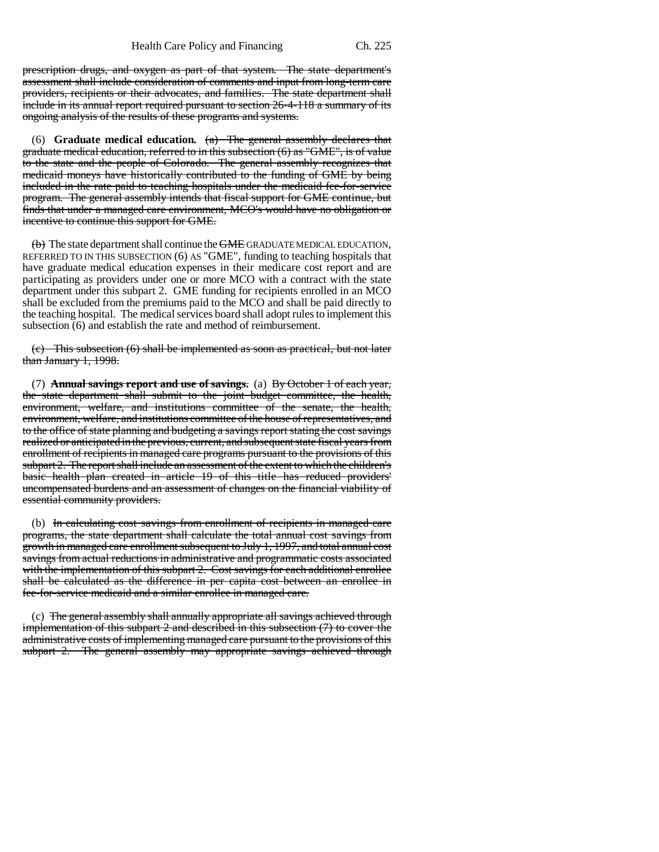prescription drugs, and oxygen as part of that system. The state department's assessment shall include consideration of comments and input from long-term care providers, recipients or their advocates, and families. The state department shall include in its annual report required pursuant to section 26-4-118 a summary of its ongoing analysis of the results of these programs and systems.

(6) **Graduate medical education.** (a) The general assembly declares that graduate medical education, referred to in this subsection (6) as "GME", is of value to the state and the people of Colorado. The general assembly recognizes that medicaid moneys have historically contributed to the funding of GME by being included in the rate paid to teaching hospitals under the medicaid fee-for-service program. The general assembly intends that fiscal support for GME continue, but finds that under a managed care environment, MCO's would have no obligation or incentive to continue this support for GME.

 $\overline{(b)}$  The state department shall continue the  $\overline{\text{GME}}$  GRADUATE MEDICAL EDUCATION, REFERRED TO IN THIS SUBSECTION (6) AS "GME", funding to teaching hospitals that have graduate medical education expenses in their medicare cost report and are participating as providers under one or more MCO with a contract with the state department under this subpart 2. GME funding for recipients enrolled in an MCO shall be excluded from the premiums paid to the MCO and shall be paid directly to the teaching hospital. The medical services board shall adopt rules to implement this subsection (6) and establish the rate and method of reimbursement.

(c) This subsection (6) shall be implemented as soon as practical, but not later than January 1, 1998.

(7) **Annual savings report and use of savings.** (a) By October 1 of each year, the state department shall submit to the joint budget committee, the health, environment, welfare, and institutions committee of the senate, the health, environment, welfare, and institutions committee of the house of representatives, and to the office of state planning and budgeting a savings report stating the cost savings realized or anticipated in the previous, current, and subsequent state fiscal years from enrollment of recipients in managed care programs pursuant to the provisions of this subpart 2. The report shall include an assessment of the extent to which the children's basic health plan created in article 19 of this title has reduced providers' uncompensated burdens and an assessment of changes on the financial viability of essential community providers.

(b) In calculating cost savings from enrollment of recipients in managed care programs, the state department shall calculate the total annual cost savings from growth in managed care enrollment subsequent to July 1, 1997, and total annual cost savings from actual reductions in administrative and programmatic costs associated with the implementation of this subpart 2. Cost savings for each additional enrollee shall be calculated as the difference in per capita cost between an enrollee in fee-for-service medicaid and a similar enrollee in managed care.

(c) The general assembly shall annually appropriate all savings achieved through implementation of this subpart  $2$  and described in this subsection  $(7)$  to cover the administrative costs of implementing managed care pursuant to the provisions of this subpart 2. The general assembly may appropriate savings achieved through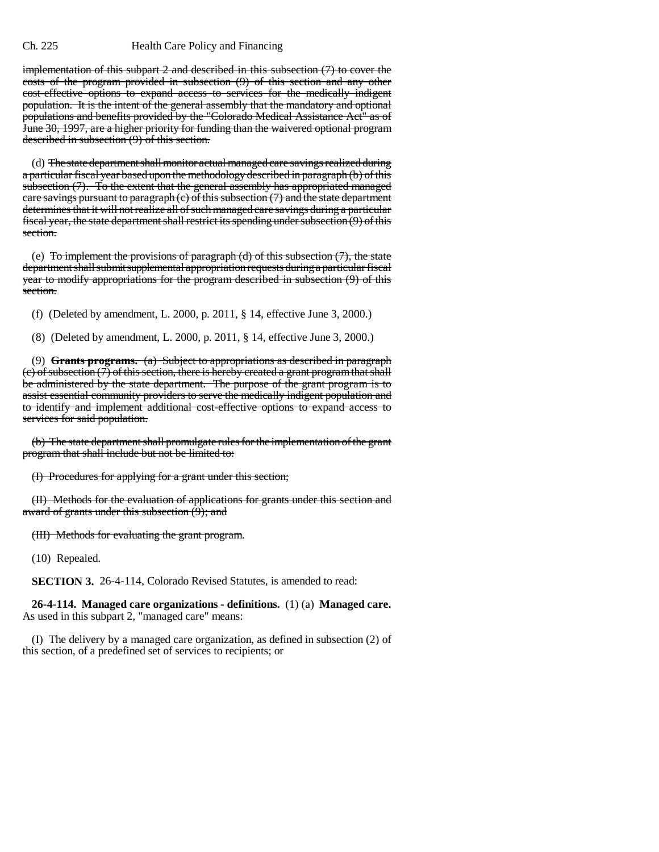implementation of this subpart 2 and described in this subsection (7) to cover the costs of the program provided in subsection (9) of this section and any other cost-effective options to expand access to services for the medically indigent population. It is the intent of the general assembly that the mandatory and optional populations and benefits provided by the "Colorado Medical Assistance Act" as of June 30, 1997, are a higher priority for funding than the waivered optional program described in subsection (9) of this section.

(d) The state department shall monitor actual managed care savings realized during a particular fiscal year based upon the methodology described in paragraph (b) of this subsection (7). To the extent that the general assembly has appropriated managed care savings pursuant to paragraph (c) of this subsection (7) and the state department determines that it will not realize all of such managed care savings during a particular fiscal year, the state department shall restrict its spending under subsection (9) of this section.

(e) To implement the provisions of paragraph (d) of this subsection  $(7)$ , the state department shall submit supplemental appropriation requests during a particular fiscal year to modify appropriations for the program described in subsection (9) of this section.

(f) (Deleted by amendment, L. 2000, p. 2011, § 14, effective June 3, 2000.)

(8) (Deleted by amendment, L. 2000, p. 2011, § 14, effective June 3, 2000.)

(9) **Grants programs.** (a) Subject to appropriations as described in paragraph  $(c)$  of subsection  $(7)$  of this section, there is hereby created a grant program that shall be administered by the state department. The purpose of the grant program is to assist essential community providers to serve the medically indigent population and to identify and implement additional cost-effective options to expand access to services for said population.

(b) The state department shall promulgate rules for the implementation of the grant program that shall include but not be limited to:

(I) Procedures for applying for a grant under this section;

(II) Methods for the evaluation of applications for grants under this section and award of grants under this subsection (9); and

(III) Methods for evaluating the grant program.

(10) Repealed.

**SECTION 3.** 26-4-114, Colorado Revised Statutes, is amended to read:

**26-4-114. Managed care organizations - definitions.** (1) (a) **Managed care.** As used in this subpart 2, "managed care" means:

(I) The delivery by a managed care organization, as defined in subsection (2) of this section, of a predefined set of services to recipients; or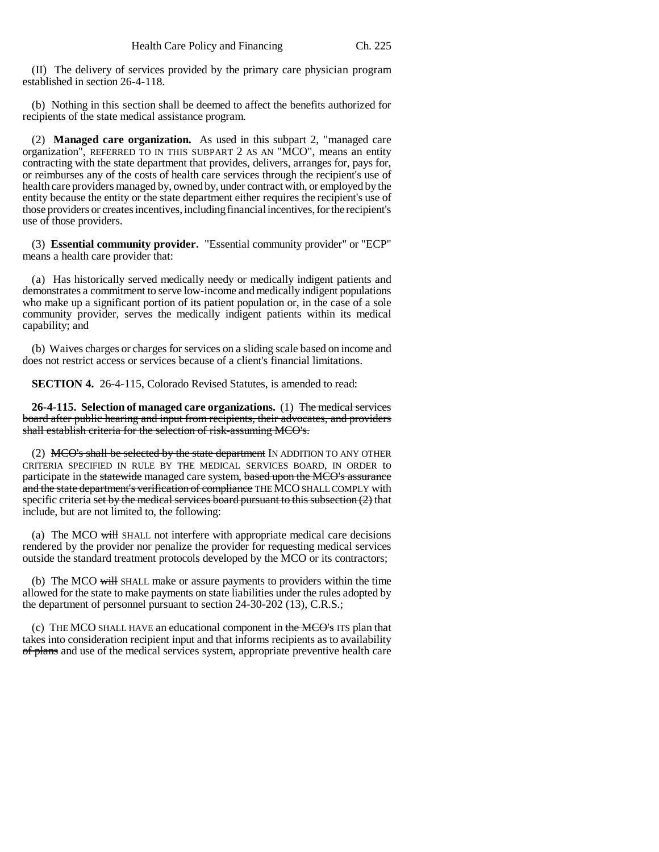(II) The delivery of services provided by the primary care physician program established in section 26-4-118.

(b) Nothing in this section shall be deemed to affect the benefits authorized for recipients of the state medical assistance program.

(2) **Managed care organization.** As used in this subpart 2, "managed care organization", REFERRED TO IN THIS SUBPART 2 AS AN "MCO", means an entity contracting with the state department that provides, delivers, arranges for, pays for, or reimburses any of the costs of health care services through the recipient's use of health care providers managed by, owned by, under contract with, or employed by the entity because the entity or the state department either requires the recipient's use of those providers or creates incentives, including financial incentives, for the recipient's use of those providers.

(3) **Essential community provider.** "Essential community provider" or "ECP" means a health care provider that:

(a) Has historically served medically needy or medically indigent patients and demonstrates a commitment to serve low-income and medically indigent populations who make up a significant portion of its patient population or, in the case of a sole community provider, serves the medically indigent patients within its medical capability; and

(b) Waives charges or charges for services on a sliding scale based on income and does not restrict access or services because of a client's financial limitations.

**SECTION 4.** 26-4-115, Colorado Revised Statutes, is amended to read:

**26-4-115. Selection of managed care organizations.** (1) The medical services board after public hearing and input from recipients, their advocates, and providers shall establish criteria for the selection of risk-assuming MCO's.

(2) MCO's shall be selected by the state department IN ADDITION TO ANY OTHER CRITERIA SPECIFIED IN RULE BY THE MEDICAL SERVICES BOARD, IN ORDER to participate in the statewide managed care system, based upon the MCO's assurance and the state department's verification of compliance THE MCO SHALL COMPLY with specific criteria set by the medical services board pursuant to this subsection  $(2)$  that include, but are not limited to, the following:

(a) The MCO  $\frac{1}{W}$  SHALL not interfere with appropriate medical care decisions rendered by the provider nor penalize the provider for requesting medical services outside the standard treatment protocols developed by the MCO or its contractors;

(b) The MCO will SHALL make or assure payments to providers within the time allowed for the state to make payments on state liabilities under the rules adopted by the department of personnel pursuant to section 24-30-202 (13), C.R.S.;

(c) THE MCO SHALL HAVE an educational component in the MCO's ITS plan that takes into consideration recipient input and that informs recipients as to availability of plans and use of the medical services system, appropriate preventive health care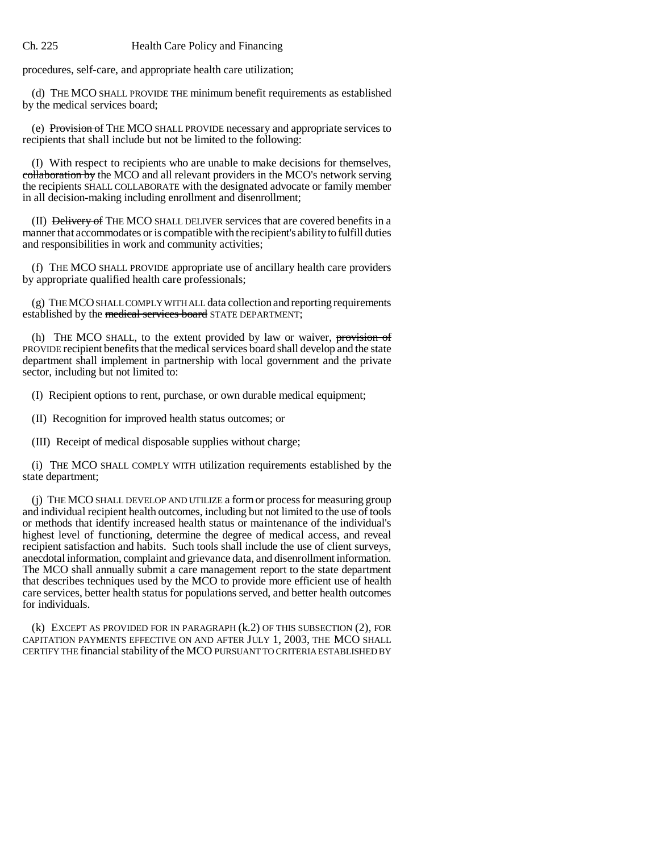procedures, self-care, and appropriate health care utilization;

(d) THE MCO SHALL PROVIDE THE minimum benefit requirements as established by the medical services board;

(e) Provision of THE MCO SHALL PROVIDE necessary and appropriate services to recipients that shall include but not be limited to the following:

(I) With respect to recipients who are unable to make decisions for themselves, collaboration by the MCO and all relevant providers in the MCO's network serving the recipients SHALL COLLABORATE with the designated advocate or family member in all decision-making including enrollment and disenrollment;

(II) Delivery of THE MCO SHALL DELIVER services that are covered benefits in a manner that accommodates or is compatible with the recipient's ability to fulfill duties and responsibilities in work and community activities;

(f) THE MCO SHALL PROVIDE appropriate use of ancillary health care providers by appropriate qualified health care professionals;

(g) THE MCO SHALL COMPLY WITH ALL data collection and reporting requirements established by the medical services board STATE DEPARTMENT;

(h) THE MCO SHALL, to the extent provided by law or waiver, provision of PROVIDE recipient benefits that the medical services board shall develop and the state department shall implement in partnership with local government and the private sector, including but not limited to:

(I) Recipient options to rent, purchase, or own durable medical equipment;

(II) Recognition for improved health status outcomes; or

(III) Receipt of medical disposable supplies without charge;

(i) THE MCO SHALL COMPLY WITH utilization requirements established by the state department;

(j) THE MCO SHALL DEVELOP AND UTILIZE a form or process for measuring group and individual recipient health outcomes, including but not limited to the use of tools or methods that identify increased health status or maintenance of the individual's highest level of functioning, determine the degree of medical access, and reveal recipient satisfaction and habits. Such tools shall include the use of client surveys, anecdotal information, complaint and grievance data, and disenrollment information. The MCO shall annually submit a care management report to the state department that describes techniques used by the MCO to provide more efficient use of health care services, better health status for populations served, and better health outcomes for individuals.

(k) EXCEPT AS PROVIDED FOR IN PARAGRAPH (k.2) OF THIS SUBSECTION (2), FOR CAPITATION PAYMENTS EFFECTIVE ON AND AFTER JULY 1, 2003, THE MCO SHALL CERTIFY THE financial stability of the MCO PURSUANT TO CRITERIA ESTABLISHED BY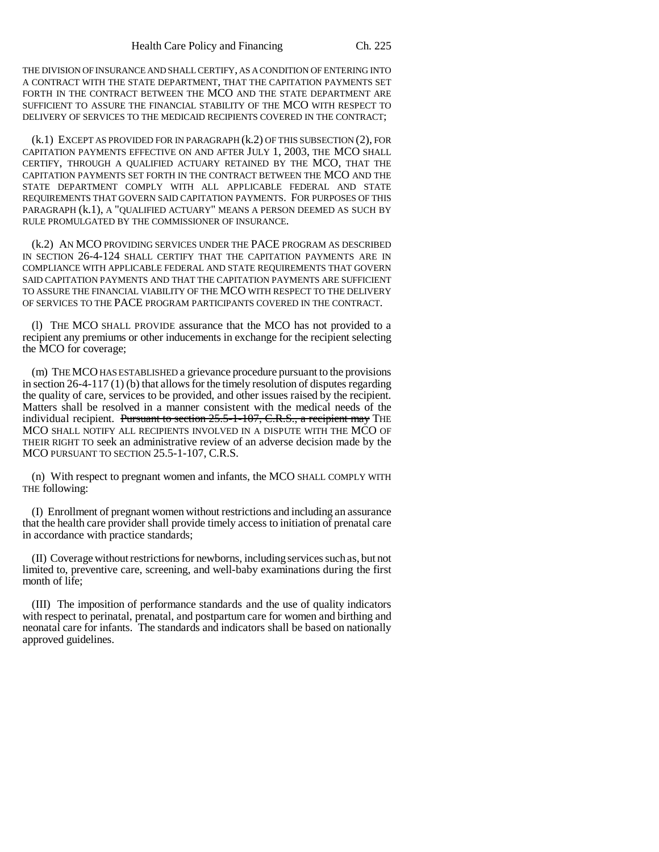THE DIVISION OF INSURANCE AND SHALL CERTIFY, AS A CONDITION OF ENTERING INTO A CONTRACT WITH THE STATE DEPARTMENT, THAT THE CAPITATION PAYMENTS SET FORTH IN THE CONTRACT BETWEEN THE MCO AND THE STATE DEPARTMENT ARE SUFFICIENT TO ASSURE THE FINANCIAL STABILITY OF THE MCO WITH RESPECT TO DELIVERY OF SERVICES TO THE MEDICAID RECIPIENTS COVERED IN THE CONTRACT;

(k.1) EXCEPT AS PROVIDED FOR IN PARAGRAPH (k.2) OF THIS SUBSECTION (2), FOR CAPITATION PAYMENTS EFFECTIVE ON AND AFTER JULY 1, 2003, THE MCO SHALL CERTIFY, THROUGH A QUALIFIED ACTUARY RETAINED BY THE MCO, THAT THE CAPITATION PAYMENTS SET FORTH IN THE CONTRACT BETWEEN THE MCO AND THE STATE DEPARTMENT COMPLY WITH ALL APPLICABLE FEDERAL AND STATE REQUIREMENTS THAT GOVERN SAID CAPITATION PAYMENTS. FOR PURPOSES OF THIS PARAGRAPH (k.1), A "QUALIFIED ACTUARY" MEANS A PERSON DEEMED AS SUCH BY RULE PROMULGATED BY THE COMMISSIONER OF INSURANCE.

(k.2) AN MCO PROVIDING SERVICES UNDER THE PACE PROGRAM AS DESCRIBED IN SECTION 26-4-124 SHALL CERTIFY THAT THE CAPITATION PAYMENTS ARE IN COMPLIANCE WITH APPLICABLE FEDERAL AND STATE REQUIREMENTS THAT GOVERN SAID CAPITATION PAYMENTS AND THAT THE CAPITATION PAYMENTS ARE SUFFICIENT TO ASSURE THE FINANCIAL VIABILITY OF THE MCO WITH RESPECT TO THE DELIVERY OF SERVICES TO THE PACE PROGRAM PARTICIPANTS COVERED IN THE CONTRACT.

(l) THE MCO SHALL PROVIDE assurance that the MCO has not provided to a recipient any premiums or other inducements in exchange for the recipient selecting the MCO for coverage;

(m) THE MCO HAS ESTABLISHED a grievance procedure pursuant to the provisions in section 26-4-117 (1) (b) that allows for the timely resolution of disputes regarding the quality of care, services to be provided, and other issues raised by the recipient. Matters shall be resolved in a manner consistent with the medical needs of the individual recipient. Pursuant to section 25.5-1-107, C.R.S., a recipient may THE MCO SHALL NOTIFY ALL RECIPIENTS INVOLVED IN A DISPUTE WITH THE MCO OF THEIR RIGHT TO seek an administrative review of an adverse decision made by the MCO PURSUANT TO SECTION 25.5-1-107, C.R.S.

(n) With respect to pregnant women and infants, the MCO SHALL COMPLY WITH THE following:

(I) Enrollment of pregnant women without restrictions and including an assurance that the health care provider shall provide timely access to initiation of prenatal care in accordance with practice standards;

(II) Coverage without restrictions for newborns, including services such as, but not limited to, preventive care, screening, and well-baby examinations during the first month of life;

(III) The imposition of performance standards and the use of quality indicators with respect to perinatal, prenatal, and postpartum care for women and birthing and neonatal care for infants. The standards and indicators shall be based on nationally approved guidelines.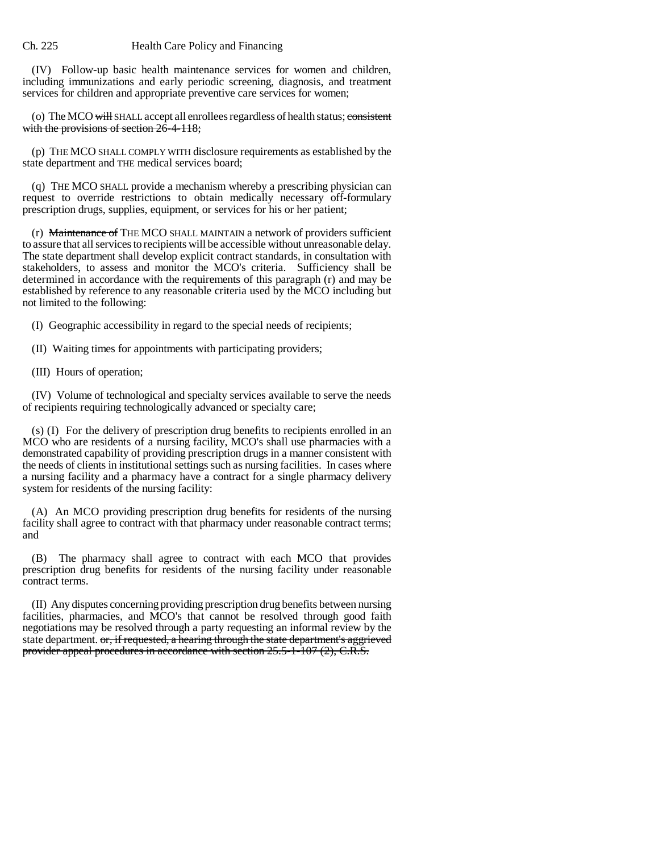(IV) Follow-up basic health maintenance services for women and children, including immunizations and early periodic screening, diagnosis, and treatment services for children and appropriate preventive care services for women;

(o) The MCO will SHALL accept all enrollees regardless of health status; consistent with the provisions of section 26-4-118;

(p) THE MCO SHALL COMPLY WITH disclosure requirements as established by the state department and THE medical services board;

(q) THE MCO SHALL provide a mechanism whereby a prescribing physician can request to override restrictions to obtain medically necessary off-formulary prescription drugs, supplies, equipment, or services for his or her patient;

 $(r)$  Maintenance of THE MCO SHALL MAINTAIN a network of providers sufficient to assure that all services to recipients will be accessible without unreasonable delay. The state department shall develop explicit contract standards, in consultation with stakeholders, to assess and monitor the MCO's criteria. Sufficiency shall be determined in accordance with the requirements of this paragraph (r) and may be established by reference to any reasonable criteria used by the MCO including but not limited to the following:

(I) Geographic accessibility in regard to the special needs of recipients;

(II) Waiting times for appointments with participating providers;

(III) Hours of operation;

(IV) Volume of technological and specialty services available to serve the needs of recipients requiring technologically advanced or specialty care;

(s) (I) For the delivery of prescription drug benefits to recipients enrolled in an MCO who are residents of a nursing facility, MCO's shall use pharmacies with a demonstrated capability of providing prescription drugs in a manner consistent with the needs of clients in institutional settings such as nursing facilities. In cases where a nursing facility and a pharmacy have a contract for a single pharmacy delivery system for residents of the nursing facility:

(A) An MCO providing prescription drug benefits for residents of the nursing facility shall agree to contract with that pharmacy under reasonable contract terms; and

(B) The pharmacy shall agree to contract with each MCO that provides prescription drug benefits for residents of the nursing facility under reasonable contract terms.

(II) Any disputes concerning providing prescription drug benefits between nursing facilities, pharmacies, and MCO's that cannot be resolved through good faith negotiations may be resolved through a party requesting an informal review by the state department. or, if requested, a hearing through the state department's aggrieved provider appeal procedures in accordance with section 25.5-1-107 (2), C.R.S.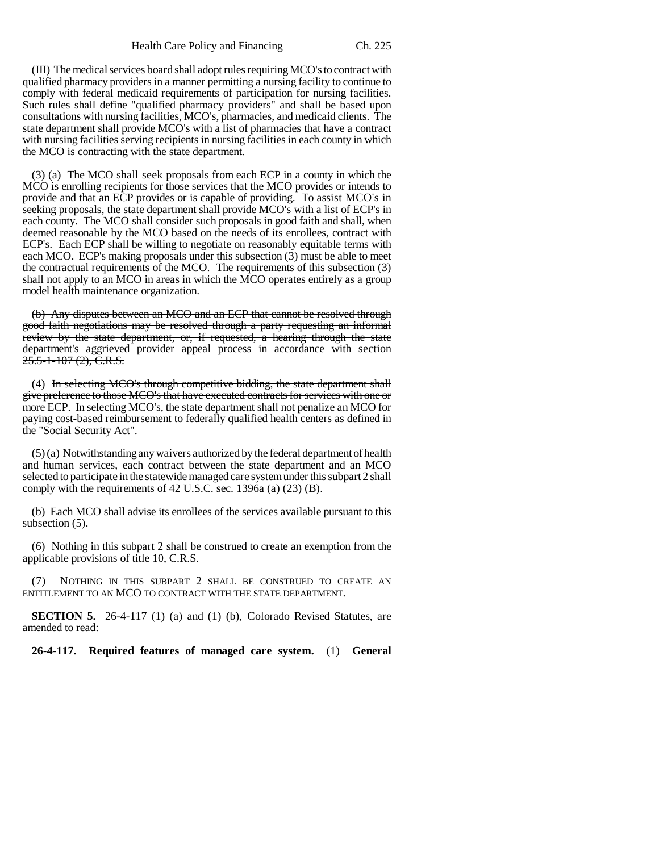(III) The medical services board shall adopt rules requiring MCO's to contract with qualified pharmacy providers in a manner permitting a nursing facility to continue to comply with federal medicaid requirements of participation for nursing facilities. Such rules shall define "qualified pharmacy providers" and shall be based upon consultations with nursing facilities, MCO's, pharmacies, and medicaid clients. The state department shall provide MCO's with a list of pharmacies that have a contract with nursing facilities serving recipients in nursing facilities in each county in which the MCO is contracting with the state department.

(3) (a) The MCO shall seek proposals from each ECP in a county in which the MCO is enrolling recipients for those services that the MCO provides or intends to provide and that an ECP provides or is capable of providing. To assist MCO's in seeking proposals, the state department shall provide MCO's with a list of ECP's in each county. The MCO shall consider such proposals in good faith and shall, when deemed reasonable by the MCO based on the needs of its enrollees, contract with ECP's. Each ECP shall be willing to negotiate on reasonably equitable terms with each MCO. ECP's making proposals under this subsection (3) must be able to meet the contractual requirements of the MCO. The requirements of this subsection (3) shall not apply to an MCO in areas in which the MCO operates entirely as a group model health maintenance organization.

(b) Any disputes between an MCO and an ECP that cannot be resolved through good faith negotiations may be resolved through a party requesting an informal review by the state department, or, if requested, a hearing through the state department's aggrieved provider appeal process in accordance with section 25.5-1-107 (2), C.R.S.

(4) In selecting MCO's through competitive bidding, the state department shall give preference to those MCO's that have executed contracts for services with one or more ECP. In selecting MCO's, the state department shall not penalize an MCO for paying cost-based reimbursement to federally qualified health centers as defined in the "Social Security Act".

(5) (a) Notwithstanding any waivers authorized by the federal department of health and human services, each contract between the state department and an MCO selected to participate in the statewide managed care system under this subpart 2 shall comply with the requirements of 42 U.S.C. sec. 1396a (a) (23) (B).

(b) Each MCO shall advise its enrollees of the services available pursuant to this subsection (5).

(6) Nothing in this subpart 2 shall be construed to create an exemption from the applicable provisions of title 10, C.R.S.

(7) NOTHING IN THIS SUBPART 2 SHALL BE CONSTRUED TO CREATE AN ENTITLEMENT TO AN MCO TO CONTRACT WITH THE STATE DEPARTMENT.

**SECTION 5.** 26-4-117 (1) (a) and (1) (b), Colorado Revised Statutes, are amended to read:

**26-4-117. Required features of managed care system.** (1) **General**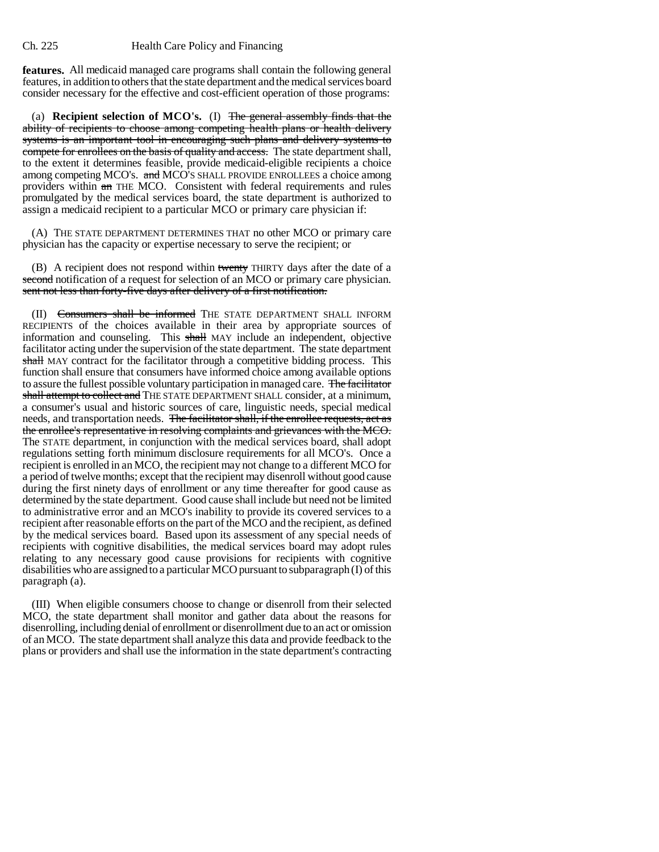**features.** All medicaid managed care programs shall contain the following general features, in addition to others that the state department and the medical services board consider necessary for the effective and cost-efficient operation of those programs:

(a) **Recipient selection of MCO's.** (I) The general assembly finds that the ability of recipients to choose among competing health plans or health delivery systems is an important tool in encouraging such plans and delivery systems to compete for enrollees on the basis of quality and access. The state department shall, to the extent it determines feasible, provide medicaid-eligible recipients a choice among competing MCO's. and MCO's SHALL PROVIDE ENROLLEES a choice among providers within an THE MCO. Consistent with federal requirements and rules promulgated by the medical services board, the state department is authorized to assign a medicaid recipient to a particular MCO or primary care physician if:

(A) THE STATE DEPARTMENT DETERMINES THAT no other MCO or primary care physician has the capacity or expertise necessary to serve the recipient; or

(B) A recipient does not respond within twenty THIRTY days after the date of a second notification of a request for selection of an MCO or primary care physician. sent not less than forty-five days after delivery of a first notification.

(II) Consumers shall be informed THE STATE DEPARTMENT SHALL INFORM RECIPIENTS of the choices available in their area by appropriate sources of information and counseling. This shall MAY include an independent, objective facilitator acting under the supervision of the state department. The state department shall MAY contract for the facilitator through a competitive bidding process. This function shall ensure that consumers have informed choice among available options to assure the fullest possible voluntary participation in managed care. The facilitator shall attempt to collect and THE STATE DEPARTMENT SHALL consider, at a minimum, a consumer's usual and historic sources of care, linguistic needs, special medical needs, and transportation needs. The facilitator shall, if the enrollee requests, act as the enrollee's representative in resolving complaints and grievances with the MCO. The STATE department, in conjunction with the medical services board, shall adopt regulations setting forth minimum disclosure requirements for all MCO's. Once a recipient is enrolled in an MCO, the recipient may not change to a different MCO for a period of twelve months; except that the recipient may disenroll without good cause during the first ninety days of enrollment or any time thereafter for good cause as determined by the state department. Good cause shall include but need not be limited to administrative error and an MCO's inability to provide its covered services to a recipient after reasonable efforts on the part of the MCO and the recipient, as defined by the medical services board. Based upon its assessment of any special needs of recipients with cognitive disabilities, the medical services board may adopt rules relating to any necessary good cause provisions for recipients with cognitive disabilities who are assigned to a particular MCO pursuant to subparagraph (I) of this paragraph (a).

(III) When eligible consumers choose to change or disenroll from their selected MCO, the state department shall monitor and gather data about the reasons for disenrolling, including denial of enrollment or disenrollment due to an act or omission of an MCO. The state department shall analyze this data and provide feedback to the plans or providers and shall use the information in the state department's contracting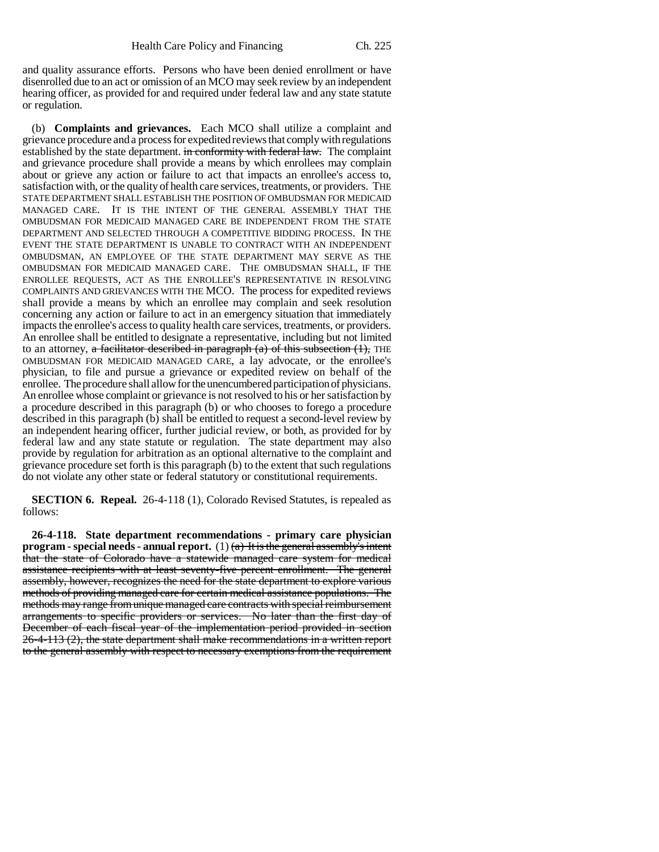and quality assurance efforts. Persons who have been denied enrollment or have disenrolled due to an act or omission of an MCO may seek review by an independent hearing officer, as provided for and required under federal law and any state statute or regulation.

(b) **Complaints and grievances.** Each MCO shall utilize a complaint and grievance procedure and a process for expedited reviews that comply with regulations established by the state department. in conformity with federal law. The complaint and grievance procedure shall provide a means by which enrollees may complain about or grieve any action or failure to act that impacts an enrollee's access to, satisfaction with, or the quality of health care services, treatments, or providers. THE STATE DEPARTMENT SHALL ESTABLISH THE POSITION OF OMBUDSMAN FOR MEDICAID MANAGED CARE. IT IS THE INTENT OF THE GENERAL ASSEMBLY THAT THE OMBUDSMAN FOR MEDICAID MANAGED CARE BE INDEPENDENT FROM THE STATE DEPARTMENT AND SELECTED THROUGH A COMPETITIVE BIDDING PROCESS. IN THE EVENT THE STATE DEPARTMENT IS UNABLE TO CONTRACT WITH AN INDEPENDENT OMBUDSMAN, AN EMPLOYEE OF THE STATE DEPARTMENT MAY SERVE AS THE OMBUDSMAN FOR MEDICAID MANAGED CARE. THE OMBUDSMAN SHALL, IF THE ENROLLEE REQUESTS, ACT AS THE ENROLLEE'S REPRESENTATIVE IN RESOLVING COMPLAINTS AND GRIEVANCES WITH THE MCO. The process for expedited reviews shall provide a means by which an enrollee may complain and seek resolution concerning any action or failure to act in an emergency situation that immediately impacts the enrollee's access to quality health care services, treatments, or providers. An enrollee shall be entitled to designate a representative, including but not limited to an attorney, a facilitator described in paragraph  $(a)$  of this subsection  $(1)$ , THE OMBUDSMAN FOR MEDICAID MANAGED CARE, a lay advocate, or the enrollee's physician, to file and pursue a grievance or expedited review on behalf of the enrollee. The procedure shall allow for the unencumbered participation of physicians. An enrollee whose complaint or grievance is not resolved to his or her satisfaction by a procedure described in this paragraph (b) or who chooses to forego a procedure described in this paragraph (b) shall be entitled to request a second-level review by an independent hearing officer, further judicial review, or both, as provided for by federal law and any state statute or regulation. The state department may also provide by regulation for arbitration as an optional alternative to the complaint and grievance procedure set forth is this paragraph (b) to the extent that such regulations do not violate any other state or federal statutory or constitutional requirements.

**SECTION 6. Repeal.** 26-4-118 (1), Colorado Revised Statutes, is repealed as follows:

**26-4-118. State department recommendations - primary care physician program - special needs - annual report.** (1)  $(a)$  It is the general assembly's intent that the state of Colorado have a statewide managed care system for medical assistance recipients with at least seventy-five percent enrollment. The general assembly, however, recognizes the need for the state department to explore various methods of providing managed care for certain medical assistance populations. The methods may range from unique managed care contracts with special reimbursement arrangements to specific providers or services. No later than the first day of December of each fiscal year of the implementation period provided in section 26-4-113 (2), the state department shall make recommendations in a written report to the general assembly with respect to necessary exemptions from the requirement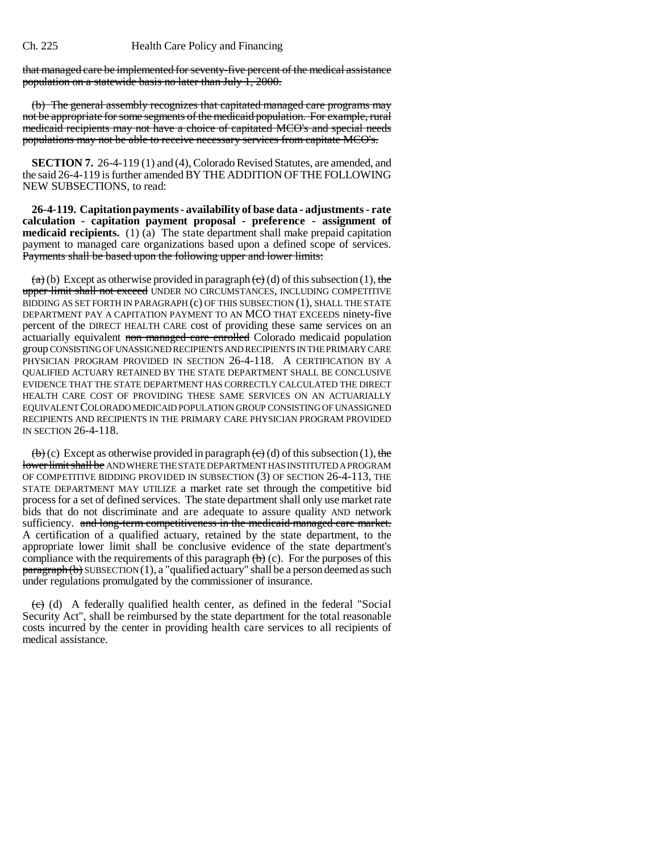that managed care be implemented for seventy-five percent of the medical assistance population on a statewide basis no later than July 1, 2000.

(b) The general assembly recognizes that capitated managed care programs may not be appropriate for some segments of the medicaid population. For example, rural medicaid recipients may not have a choice of capitated MCO's and special needs populations may not be able to receive necessary services from capitate MCO's.

**SECTION 7.** 26-4-119 (1) and (4), Colorado Revised Statutes, are amended, and the said 26-4-119 is further amended BY THE ADDITION OF THE FOLLOWING NEW SUBSECTIONS, to read:

**26-4-119. Capitation payments - availability of base data - adjustments - rate calculation - capitation payment proposal - preference - assignment of medicaid recipients.** (1) (a) The state department shall make prepaid capitation payment to managed care organizations based upon a defined scope of services. Payments shall be based upon the following upper and lower limits:

 $(a)$  (b) Except as otherwise provided in paragraph  $(e)$  (d) of this subsection (1), the upper limit shall not exceed UNDER NO CIRCUMSTANCES, INCLUDING COMPETITIVE BIDDING AS SET FORTH IN PARAGRAPH (c) OF THIS SUBSECTION (1), SHALL THE STATE DEPARTMENT PAY A CAPITATION PAYMENT TO AN MCO THAT EXCEEDS ninety-five percent of the DIRECT HEALTH CARE cost of providing these same services on an actuarially equivalent non managed care enrolled Colorado medicaid population group CONSISTING OF UNASSIGNED RECIPIENTS AND RECIPIENTS IN THE PRIMARY CARE PHYSICIAN PROGRAM PROVIDED IN SECTION 26-4-118. A CERTIFICATION BY A QUALIFIED ACTUARY RETAINED BY THE STATE DEPARTMENT SHALL BE CONCLUSIVE EVIDENCE THAT THE STATE DEPARTMENT HAS CORRECTLY CALCULATED THE DIRECT HEALTH CARE COST OF PROVIDING THESE SAME SERVICES ON AN ACTUARIALLY EQUIVALENT COLORADO MEDICAID POPULATION GROUP CONSISTING OF UNASSIGNED RECIPIENTS AND RECIPIENTS IN THE PRIMARY CARE PHYSICIAN PROGRAM PROVIDED IN SECTION 26-4-118.

 $\left(\frac{b}{c}\right)$  (c) Except as otherwise provided in paragraph  $\left(\frac{c}{c}\right)$  (d) of this subsection (1), the lower limit shall be AND WHERE THE STATE DEPARTMENT HAS INSTITUTED A PROGRAM OF COMPETITIVE BIDDING PROVIDED IN SUBSECTION (3) OF SECTION 26-4-113, THE STATE DEPARTMENT MAY UTILIZE a market rate set through the competitive bid process for a set of defined services. The state department shall only use market rate bids that do not discriminate and are adequate to assure quality AND network sufficiency. and long-term competitiveness in the medicaid managed care market. A certification of a qualified actuary, retained by the state department, to the appropriate lower limit shall be conclusive evidence of the state department's compliance with the requirements of this paragraph  $(b)$  (c). For the purposes of this  $\frac{\text{param}}{\text{b}}$  SUBSECTION (1), a "qualified actuary" shall be a person deemed as such under regulations promulgated by the commissioner of insurance.

 $\overline{(e)}$  (d) A federally qualified health center, as defined in the federal "Social Security Act", shall be reimbursed by the state department for the total reasonable costs incurred by the center in providing health care services to all recipients of medical assistance.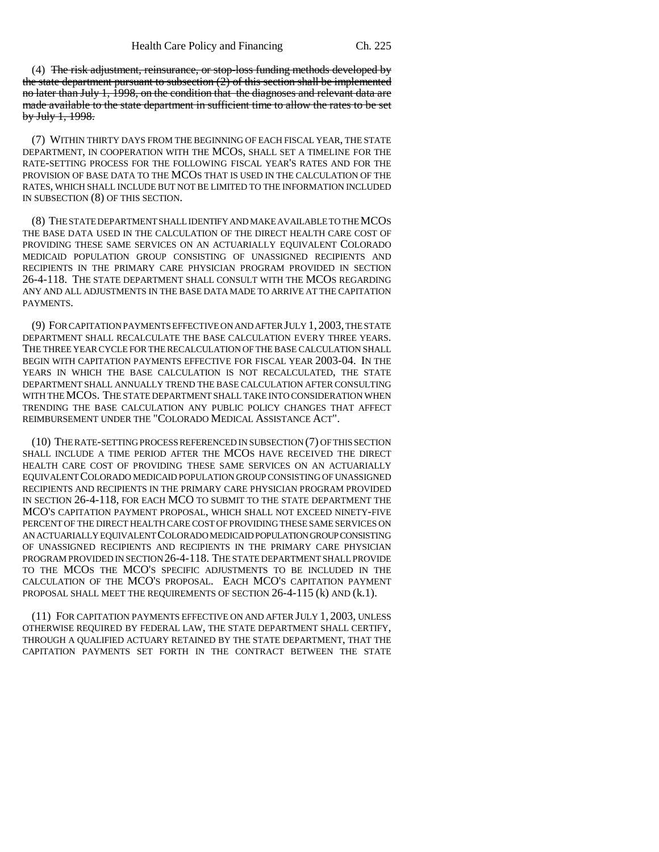(4) The risk adjustment, reinsurance, or stop-loss funding methods developed by the state department pursuant to subsection  $(2)$  of this section shall be implemented no later than July 1, 1998, on the condition that the diagnoses and relevant data are made available to the state department in sufficient time to allow the rates to be set by July 1, 1998.

(7) WITHIN THIRTY DAYS FROM THE BEGINNING OF EACH FISCAL YEAR, THE STATE DEPARTMENT, IN COOPERATION WITH THE MCOS, SHALL SET A TIMELINE FOR THE RATE-SETTING PROCESS FOR THE FOLLOWING FISCAL YEAR'S RATES AND FOR THE PROVISION OF BASE DATA TO THE MCOS THAT IS USED IN THE CALCULATION OF THE RATES, WHICH SHALL INCLUDE BUT NOT BE LIMITED TO THE INFORMATION INCLUDED IN SUBSECTION (8) OF THIS SECTION.

(8) THE STATE DEPARTMENT SHALL IDENTIFY AND MAKE AVAILABLE TO THE MCOS THE BASE DATA USED IN THE CALCULATION OF THE DIRECT HEALTH CARE COST OF PROVIDING THESE SAME SERVICES ON AN ACTUARIALLY EQUIVALENT COLORADO MEDICAID POPULATION GROUP CONSISTING OF UNASSIGNED RECIPIENTS AND RECIPIENTS IN THE PRIMARY CARE PHYSICIAN PROGRAM PROVIDED IN SECTION 26-4-118. THE STATE DEPARTMENT SHALL CONSULT WITH THE MCOS REGARDING ANY AND ALL ADJUSTMENTS IN THE BASE DATA MADE TO ARRIVE AT THE CAPITATION PAYMENTS.

(9) FOR CAPITATION PAYMENTS EFFECTIVE ON AND AFTER JULY 1, 2003, THE STATE DEPARTMENT SHALL RECALCULATE THE BASE CALCULATION EVERY THREE YEARS. THE THREE YEAR CYCLE FOR THE RECALCULATION OF THE BASE CALCULATION SHALL BEGIN WITH CAPITATION PAYMENTS EFFECTIVE FOR FISCAL YEAR 2003-04. IN THE YEARS IN WHICH THE BASE CALCULATION IS NOT RECALCULATED, THE STATE DEPARTMENT SHALL ANNUALLY TREND THE BASE CALCULATION AFTER CONSULTING WITH THE MCOS. THE STATE DEPARTMENT SHALL TAKE INTO CONSIDERATION WHEN TRENDING THE BASE CALCULATION ANY PUBLIC POLICY CHANGES THAT AFFECT REIMBURSEMENT UNDER THE "COLORADO MEDICAL ASSISTANCE ACT".

(10) THE RATE-SETTING PROCESS REFERENCED IN SUBSECTION (7) OF THIS SECTION SHALL INCLUDE A TIME PERIOD AFTER THE MCOS HAVE RECEIVED THE DIRECT HEALTH CARE COST OF PROVIDING THESE SAME SERVICES ON AN ACTUARIALLY EQUIVALENT COLORADO MEDICAID POPULATION GROUP CONSISTING OF UNASSIGNED RECIPIENTS AND RECIPIENTS IN THE PRIMARY CARE PHYSICIAN PROGRAM PROVIDED IN SECTION 26-4-118, FOR EACH MCO TO SUBMIT TO THE STATE DEPARTMENT THE MCO'S CAPITATION PAYMENT PROPOSAL, WHICH SHALL NOT EXCEED NINETY-FIVE PERCENT OF THE DIRECT HEALTH CARE COST OF PROVIDING THESE SAME SERVICES ON AN ACTUARIALLY EQUIVALENT COLORADO MEDICAID POPULATION GROUP CONSISTING OF UNASSIGNED RECIPIENTS AND RECIPIENTS IN THE PRIMARY CARE PHYSICIAN PROGRAM PROVIDED IN SECTION 26-4-118. THE STATE DEPARTMENT SHALL PROVIDE TO THE MCOS THE MCO'S SPECIFIC ADJUSTMENTS TO BE INCLUDED IN THE CALCULATION OF THE MCO'S PROPOSAL. EACH MCO'S CAPITATION PAYMENT PROPOSAL SHALL MEET THE REQUIREMENTS OF SECTION 26-4-115 (k) AND (k.1).

(11) FOR CAPITATION PAYMENTS EFFECTIVE ON AND AFTER JULY 1, 2003, UNLESS OTHERWISE REQUIRED BY FEDERAL LAW, THE STATE DEPARTMENT SHALL CERTIFY, THROUGH A QUALIFIED ACTUARY RETAINED BY THE STATE DEPARTMENT, THAT THE CAPITATION PAYMENTS SET FORTH IN THE CONTRACT BETWEEN THE STATE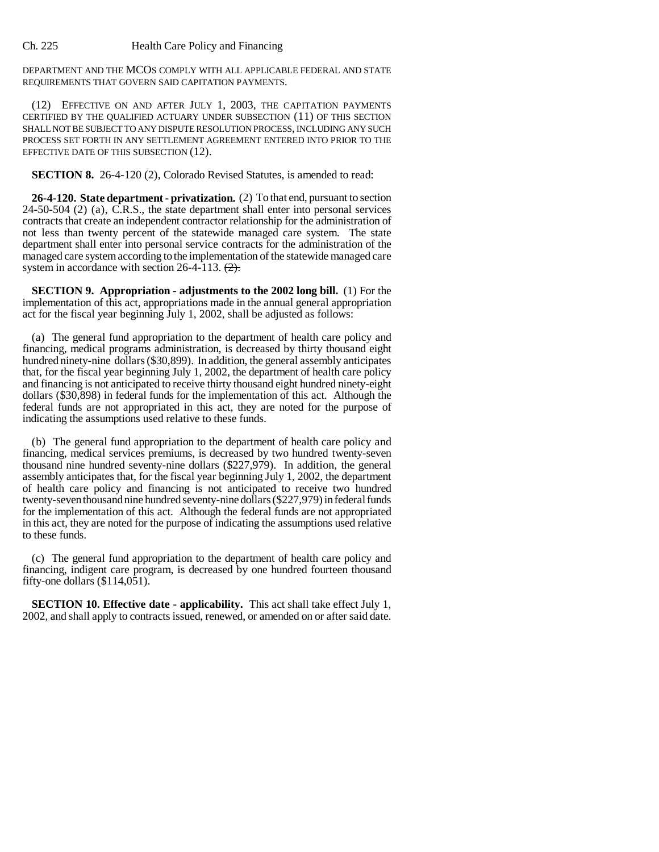DEPARTMENT AND THE MCOS COMPLY WITH ALL APPLICABLE FEDERAL AND STATE REQUIREMENTS THAT GOVERN SAID CAPITATION PAYMENTS.

(12) EFFECTIVE ON AND AFTER JULY 1, 2003, THE CAPITATION PAYMENTS CERTIFIED BY THE QUALIFIED ACTUARY UNDER SUBSECTION (11) OF THIS SECTION SHALL NOT BE SUBJECT TO ANY DISPUTE RESOLUTION PROCESS, INCLUDING ANY SUCH PROCESS SET FORTH IN ANY SETTLEMENT AGREEMENT ENTERED INTO PRIOR TO THE EFFECTIVE DATE OF THIS SUBSECTION (12).

**SECTION 8.** 26-4-120 (2), Colorado Revised Statutes, is amended to read:

**26-4-120. State department - privatization.** (2) To that end, pursuant to section  $24-50-504$  (2) (a), C.R.S., the state department shall enter into personal services contracts that create an independent contractor relationship for the administration of not less than twenty percent of the statewide managed care system. The state department shall enter into personal service contracts for the administration of the managed care system according to the implementation of the statewide managed care system in accordance with section  $26-4-113$ .  $(2)$ .

**SECTION 9. Appropriation - adjustments to the 2002 long bill.** (1) For the implementation of this act, appropriations made in the annual general appropriation act for the fiscal year beginning July 1, 2002, shall be adjusted as follows:

(a) The general fund appropriation to the department of health care policy and financing, medical programs administration, is decreased by thirty thousand eight hundred ninety-nine dollars (\$30,899). In addition, the general assembly anticipates that, for the fiscal year beginning July 1, 2002, the department of health care policy and financing is not anticipated to receive thirty thousand eight hundred ninety-eight dollars (\$30,898) in federal funds for the implementation of this act. Although the federal funds are not appropriated in this act, they are noted for the purpose of indicating the assumptions used relative to these funds.

(b) The general fund appropriation to the department of health care policy and financing, medical services premiums, is decreased by two hundred twenty-seven thousand nine hundred seventy-nine dollars (\$227,979). In addition, the general assembly anticipates that, for the fiscal year beginning July 1, 2002, the department of health care policy and financing is not anticipated to receive two hundred twenty-seven thousand nine hundred seventy-nine dollars (\$227,979) in federal funds for the implementation of this act. Although the federal funds are not appropriated in this act, they are noted for the purpose of indicating the assumptions used relative to these funds.

(c) The general fund appropriation to the department of health care policy and financing, indigent care program, is decreased by one hundred fourteen thousand fifty-one dollars (\$114,051).

**SECTION 10. Effective date - applicability.** This act shall take effect July 1, 2002, and shall apply to contracts issued, renewed, or amended on or after said date.